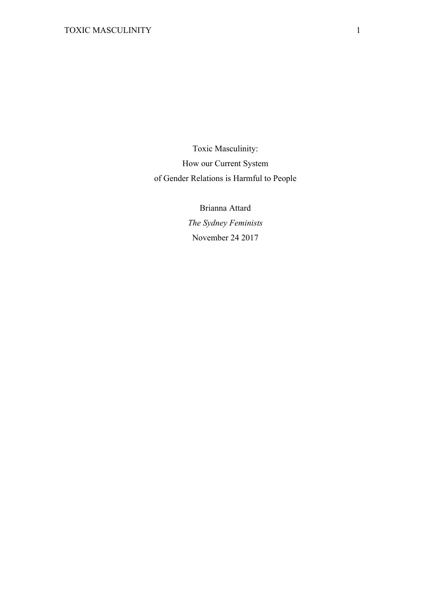Toxic Masculinity: How our Current System of Gender Relations is Harmful to People

> Brianna Attard *The Sydney Feminists* November 24 2017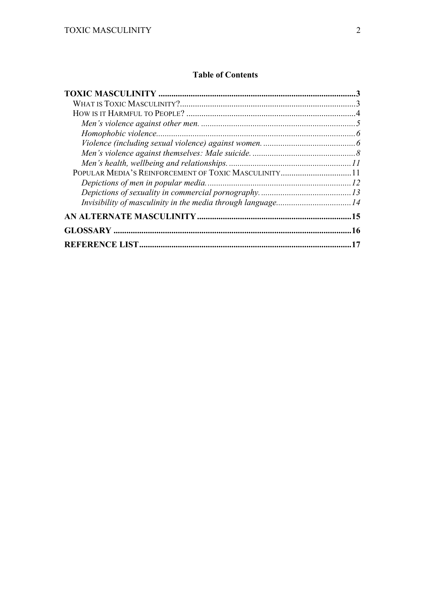# **Table of Contents**

| POPULAR MEDIA'S REINFORCEMENT OF TOXIC MASCULINITY11        |  |
|-------------------------------------------------------------|--|
|                                                             |  |
|                                                             |  |
| Invisibility of masculinity in the media through language14 |  |
|                                                             |  |
|                                                             |  |
|                                                             |  |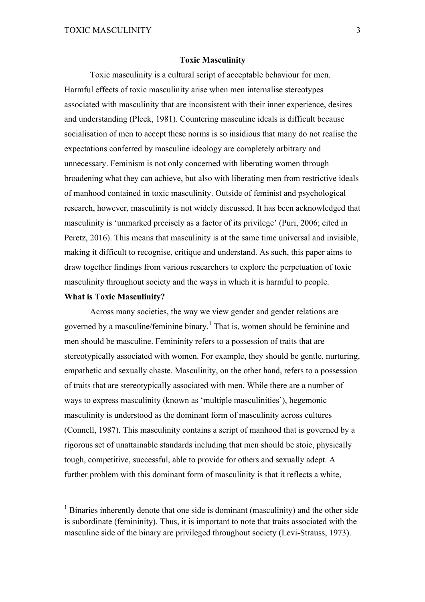#### **Toxic Masculinity**

Toxic masculinity is a cultural script of acceptable behaviour for men. Harmful effects of toxic masculinity arise when men internalise stereotypes associated with masculinity that are inconsistent with their inner experience, desires and understanding (Pleck, 1981). Countering masculine ideals is difficult because socialisation of men to accept these norms is so insidious that many do not realise the expectations conferred by masculine ideology are completely arbitrary and unnecessary. Feminism is not only concerned with liberating women through broadening what they can achieve, but also with liberating men from restrictive ideals of manhood contained in toxic masculinity. Outside of feminist and psychological research, however, masculinity is not widely discussed. It has been acknowledged that masculinity is 'unmarked precisely as a factor of its privilege' (Puri, 2006; cited in Peretz, 2016). This means that masculinity is at the same time universal and invisible, making it difficult to recognise, critique and understand. As such, this paper aims to draw together findings from various researchers to explore the perpetuation of toxic masculinity throughout society and the ways in which it is harmful to people.

## **What is Toxic Masculinity?**

Across many societies, the way we view gender and gender relations are governed by a masculine/feminine binary.<sup>1</sup> That is, women should be feminine and men should be masculine. Femininity refers to a possession of traits that are stereotypically associated with women. For example, they should be gentle, nurturing, empathetic and sexually chaste. Masculinity, on the other hand, refers to a possession of traits that are stereotypically associated with men. While there are a number of ways to express masculinity (known as 'multiple masculinities'), hegemonic masculinity is understood as the dominant form of masculinity across cultures (Connell, 1987). This masculinity contains a script of manhood that is governed by a rigorous set of unattainable standards including that men should be stoic, physically tough, competitive, successful, able to provide for others and sexually adept. A further problem with this dominant form of masculinity is that it reflects a white,

 $1$  Binaries inherently denote that one side is dominant (masculinity) and the other side is subordinate (femininity). Thus, it is important to note that traits associated with the masculine side of the binary are privileged throughout society (Levi-Strauss, 1973).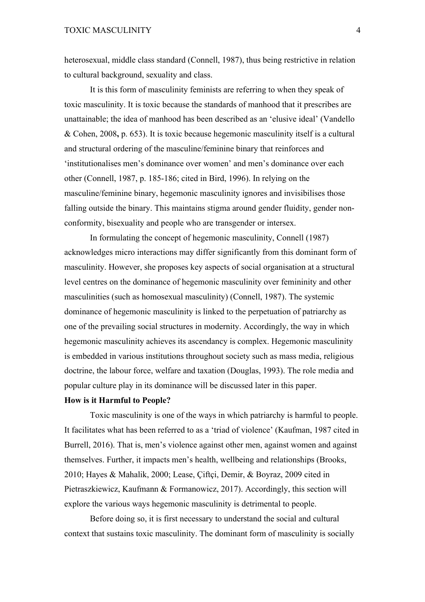heterosexual, middle class standard (Connell, 1987), thus being restrictive in relation to cultural background, sexuality and class.

It is this form of masculinity feminists are referring to when they speak of toxic masculinity. It is toxic because the standards of manhood that it prescribes are unattainable; the idea of manhood has been described as an 'elusive ideal' (Vandello & Cohen, 2008**,** p. 653). It is toxic because hegemonic masculinity itself is a cultural and structural ordering of the masculine/feminine binary that reinforces and 'institutionalises men's dominance over women' and men's dominance over each other (Connell, 1987, p. 185-186; cited in Bird, 1996). In relying on the masculine/feminine binary, hegemonic masculinity ignores and invisibilises those falling outside the binary. This maintains stigma around gender fluidity, gender nonconformity, bisexuality and people who are transgender or intersex.

In formulating the concept of hegemonic masculinity, Connell (1987) acknowledges micro interactions may differ significantly from this dominant form of masculinity. However, she proposes key aspects of social organisation at a structural level centres on the dominance of hegemonic masculinity over femininity and other masculinities (such as homosexual masculinity) (Connell, 1987). The systemic dominance of hegemonic masculinity is linked to the perpetuation of patriarchy as one of the prevailing social structures in modernity. Accordingly, the way in which hegemonic masculinity achieves its ascendancy is complex. Hegemonic masculinity is embedded in various institutions throughout society such as mass media, religious doctrine, the labour force, welfare and taxation (Douglas, 1993). The role media and popular culture play in its dominance will be discussed later in this paper.

#### **How is it Harmful to People?**

Toxic masculinity is one of the ways in which patriarchy is harmful to people. It facilitates what has been referred to as a 'triad of violence' (Kaufman, 1987 cited in Burrell, 2016). That is, men's violence against other men, against women and against themselves. Further, it impacts men's health, wellbeing and relationships (Brooks, 2010; Hayes & Mahalik, 2000; Lease, Çiftçi, Demir, & Boyraz, 2009 cited in Pietraszkiewicz, Kaufmann & Formanowicz, 2017). Accordingly, this section will explore the various ways hegemonic masculinity is detrimental to people.

Before doing so, it is first necessary to understand the social and cultural context that sustains toxic masculinity. The dominant form of masculinity is socially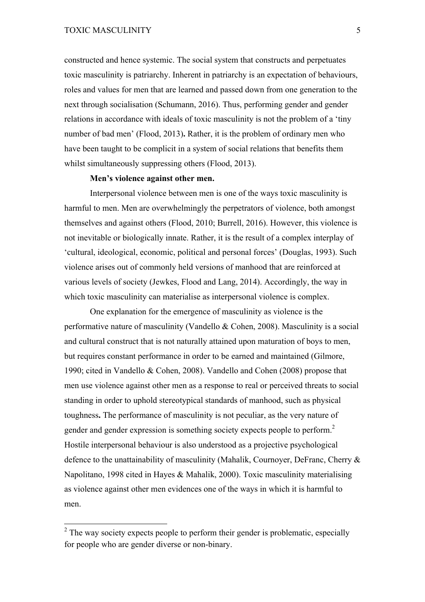constructed and hence systemic. The social system that constructs and perpetuates toxic masculinity is patriarchy. Inherent in patriarchy is an expectation of behaviours, roles and values for men that are learned and passed down from one generation to the next through socialisation (Schumann, 2016). Thus, performing gender and gender relations in accordance with ideals of toxic masculinity is not the problem of a 'tiny number of bad men' (Flood, 2013)**.** Rather, it is the problem of ordinary men who have been taught to be complicit in a system of social relations that benefits them whilst simultaneously suppressing others (Flood, 2013).

## **Men's violence against other men.**

Interpersonal violence between men is one of the ways toxic masculinity is harmful to men. Men are overwhelmingly the perpetrators of violence, both amongst themselves and against others (Flood, 2010; Burrell, 2016). However, this violence is not inevitable or biologically innate. Rather, it is the result of a complex interplay of 'cultural, ideological, economic, political and personal forces' (Douglas, 1993). Such violence arises out of commonly held versions of manhood that are reinforced at various levels of society (Jewkes, Flood and Lang, 2014). Accordingly, the way in which toxic masculinity can materialise as interpersonal violence is complex.

One explanation for the emergence of masculinity as violence is the performative nature of masculinity (Vandello & Cohen, 2008). Masculinity is a social and cultural construct that is not naturally attained upon maturation of boys to men, but requires constant performance in order to be earned and maintained (Gilmore, 1990; cited in Vandello & Cohen, 2008). Vandello and Cohen (2008) propose that men use violence against other men as a response to real or perceived threats to social standing in order to uphold stereotypical standards of manhood, such as physical toughness**.** The performance of masculinity is not peculiar, as the very nature of gender and gender expression is something society expects people to perform.<sup>2</sup> Hostile interpersonal behaviour is also understood as a projective psychological defence to the unattainability of masculinity (Mahalik, Cournoyer, DeFranc, Cherry & Napolitano, 1998 cited in Hayes & Mahalik, 2000). Toxic masculinity materialising as violence against other men evidences one of the ways in which it is harmful to men.

 $2\degree$  The way society expects people to perform their gender is problematic, especially for people who are gender diverse or non-binary.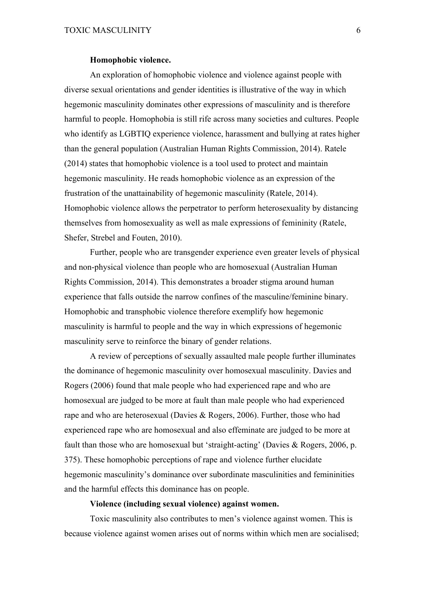## **Homophobic violence.**

An exploration of homophobic violence and violence against people with diverse sexual orientations and gender identities is illustrative of the way in which hegemonic masculinity dominates other expressions of masculinity and is therefore harmful to people. Homophobia is still rife across many societies and cultures. People who identify as LGBTIQ experience violence, harassment and bullying at rates higher than the general population (Australian Human Rights Commission, 2014). Ratele (2014) states that homophobic violence is a tool used to protect and maintain hegemonic masculinity. He reads homophobic violence as an expression of the frustration of the unattainability of hegemonic masculinity (Ratele, 2014). Homophobic violence allows the perpetrator to perform heterosexuality by distancing themselves from homosexuality as well as male expressions of femininity (Ratele, Shefer, Strebel and Fouten, 2010).

Further, people who are transgender experience even greater levels of physical and non-physical violence than people who are homosexual (Australian Human Rights Commission, 2014). This demonstrates a broader stigma around human experience that falls outside the narrow confines of the masculine/feminine binary. Homophobic and transphobic violence therefore exemplify how hegemonic masculinity is harmful to people and the way in which expressions of hegemonic masculinity serve to reinforce the binary of gender relations.

A review of perceptions of sexually assaulted male people further illuminates the dominance of hegemonic masculinity over homosexual masculinity. Davies and Rogers (2006) found that male people who had experienced rape and who are homosexual are judged to be more at fault than male people who had experienced rape and who are heterosexual (Davies & Rogers, 2006). Further, those who had experienced rape who are homosexual and also effeminate are judged to be more at fault than those who are homosexual but 'straight-acting' (Davies & Rogers, 2006, p. 375). These homophobic perceptions of rape and violence further elucidate hegemonic masculinity's dominance over subordinate masculinities and femininities and the harmful effects this dominance has on people.

#### **Violence (including sexual violence) against women.**

Toxic masculinity also contributes to men's violence against women. This is because violence against women arises out of norms within which men are socialised;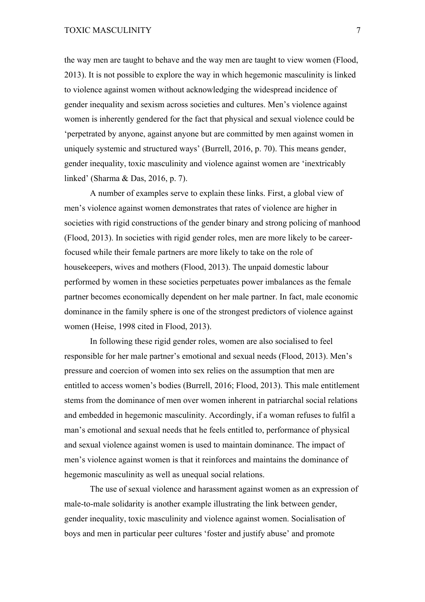the way men are taught to behave and the way men are taught to view women (Flood, 2013). It is not possible to explore the way in which hegemonic masculinity is linked to violence against women without acknowledging the widespread incidence of gender inequality and sexism across societies and cultures. Men's violence against women is inherently gendered for the fact that physical and sexual violence could be 'perpetrated by anyone, against anyone but are committed by men against women in uniquely systemic and structured ways' (Burrell, 2016, p. 70). This means gender, gender inequality, toxic masculinity and violence against women are 'inextricably linked' (Sharma & Das, 2016, p. 7).

A number of examples serve to explain these links. First, a global view of men's violence against women demonstrates that rates of violence are higher in societies with rigid constructions of the gender binary and strong policing of manhood (Flood, 2013). In societies with rigid gender roles, men are more likely to be careerfocused while their female partners are more likely to take on the role of housekeepers, wives and mothers (Flood, 2013). The unpaid domestic labour performed by women in these societies perpetuates power imbalances as the female partner becomes economically dependent on her male partner. In fact, male economic dominance in the family sphere is one of the strongest predictors of violence against women (Heise, 1998 cited in Flood, 2013).

In following these rigid gender roles, women are also socialised to feel responsible for her male partner's emotional and sexual needs (Flood, 2013). Men's pressure and coercion of women into sex relies on the assumption that men are entitled to access women's bodies (Burrell, 2016; Flood, 2013). This male entitlement stems from the dominance of men over women inherent in patriarchal social relations and embedded in hegemonic masculinity. Accordingly, if a woman refuses to fulfil a man's emotional and sexual needs that he feels entitled to, performance of physical and sexual violence against women is used to maintain dominance. The impact of men's violence against women is that it reinforces and maintains the dominance of hegemonic masculinity as well as unequal social relations.

The use of sexual violence and harassment against women as an expression of male-to-male solidarity is another example illustrating the link between gender, gender inequality, toxic masculinity and violence against women. Socialisation of boys and men in particular peer cultures 'foster and justify abuse' and promote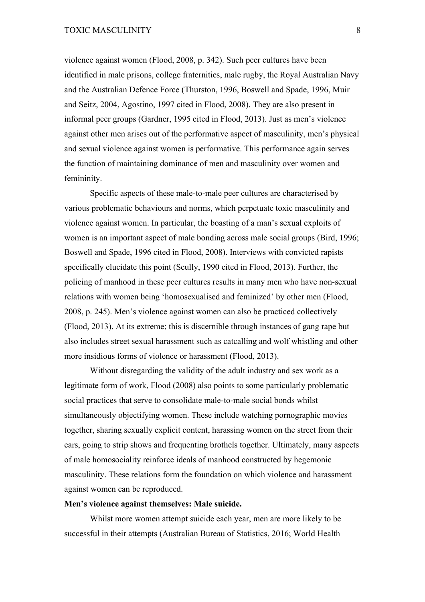violence against women (Flood, 2008, p. 342). Such peer cultures have been identified in male prisons, college fraternities, male rugby, the Royal Australian Navy and the Australian Defence Force (Thurston, 1996, Boswell and Spade, 1996, Muir and Seitz, 2004, Agostino, 1997 cited in Flood, 2008). They are also present in informal peer groups (Gardner, 1995 cited in Flood, 2013). Just as men's violence against other men arises out of the performative aspect of masculinity, men's physical and sexual violence against women is performative. This performance again serves the function of maintaining dominance of men and masculinity over women and femininity.

Specific aspects of these male-to-male peer cultures are characterised by various problematic behaviours and norms, which perpetuate toxic masculinity and violence against women. In particular, the boasting of a man's sexual exploits of women is an important aspect of male bonding across male social groups (Bird, 1996; Boswell and Spade, 1996 cited in Flood, 2008). Interviews with convicted rapists specifically elucidate this point (Scully, 1990 cited in Flood, 2013). Further, the policing of manhood in these peer cultures results in many men who have non-sexual relations with women being 'homosexualised and feminized' by other men (Flood, 2008, p. 245). Men's violence against women can also be practiced collectively (Flood, 2013). At its extreme; this is discernible through instances of gang rape but also includes street sexual harassment such as catcalling and wolf whistling and other more insidious forms of violence or harassment (Flood, 2013).

Without disregarding the validity of the adult industry and sex work as a legitimate form of work, Flood (2008) also points to some particularly problematic social practices that serve to consolidate male-to-male social bonds whilst simultaneously objectifying women. These include watching pornographic movies together, sharing sexually explicit content, harassing women on the street from their cars, going to strip shows and frequenting brothels together. Ultimately, many aspects of male homosociality reinforce ideals of manhood constructed by hegemonic masculinity. These relations form the foundation on which violence and harassment against women can be reproduced.

#### **Men's violence against themselves: Male suicide.**

Whilst more women attempt suicide each year, men are more likely to be successful in their attempts (Australian Bureau of Statistics, 2016; World Health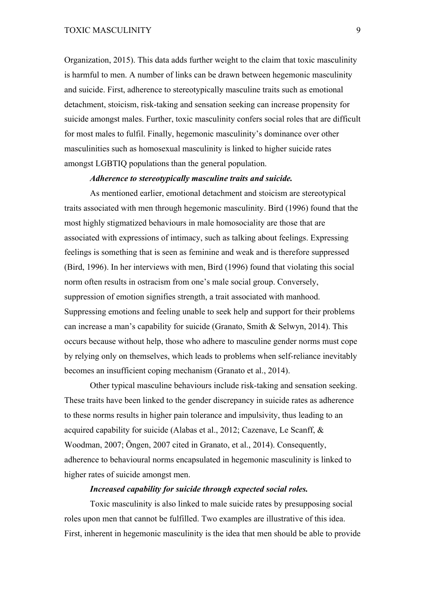Organization, 2015). This data adds further weight to the claim that toxic masculinity is harmful to men. A number of links can be drawn between hegemonic masculinity and suicide. First, adherence to stereotypically masculine traits such as emotional detachment, stoicism, risk-taking and sensation seeking can increase propensity for suicide amongst males. Further, toxic masculinity confers social roles that are difficult for most males to fulfil. Finally, hegemonic masculinity's dominance over other masculinities such as homosexual masculinity is linked to higher suicide rates amongst LGBTIQ populations than the general population.

#### *Adherence to stereotypically masculine traits and suicide.*

As mentioned earlier, emotional detachment and stoicism are stereotypical traits associated with men through hegemonic masculinity. Bird (1996) found that the most highly stigmatized behaviours in male homosociality are those that are associated with expressions of intimacy, such as talking about feelings. Expressing feelings is something that is seen as feminine and weak and is therefore suppressed (Bird, 1996). In her interviews with men, Bird (1996) found that violating this social norm often results in ostracism from one's male social group. Conversely, suppression of emotion signifies strength, a trait associated with manhood. Suppressing emotions and feeling unable to seek help and support for their problems can increase a man's capability for suicide (Granato, Smith & Selwyn, 2014). This occurs because without help, those who adhere to masculine gender norms must cope by relying only on themselves, which leads to problems when self-reliance inevitably becomes an insufficient coping mechanism (Granato et al., 2014).

Other typical masculine behaviours include risk-taking and sensation seeking. These traits have been linked to the gender discrepancy in suicide rates as adherence to these norms results in higher pain tolerance and impulsivity, thus leading to an acquired capability for suicide (Alabas et al., 2012; Cazenave, Le Scanff, & Woodman, 2007; Öngen, 2007 cited in Granato, et al., 2014). Consequently, adherence to behavioural norms encapsulated in hegemonic masculinity is linked to higher rates of suicide amongst men.

## *Increased capability for suicide through expected social roles.*

Toxic masculinity is also linked to male suicide rates by presupposing social roles upon men that cannot be fulfilled. Two examples are illustrative of this idea. First, inherent in hegemonic masculinity is the idea that men should be able to provide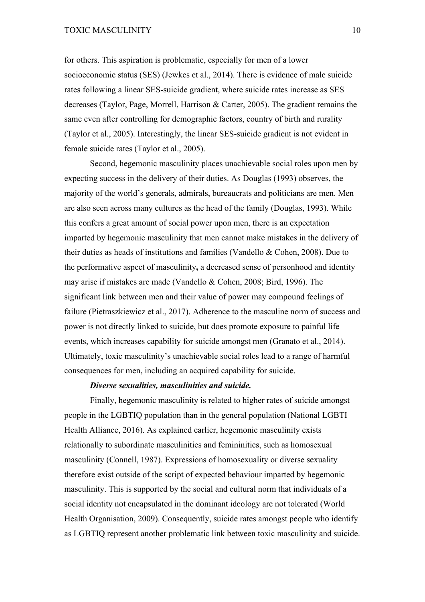for others. This aspiration is problematic, especially for men of a lower socioeconomic status (SES) (Jewkes et al., 2014). There is evidence of male suicide rates following a linear SES-suicide gradient, where suicide rates increase as SES decreases (Taylor, Page, Morrell, Harrison & Carter, 2005). The gradient remains the same even after controlling for demographic factors, country of birth and rurality (Taylor et al., 2005). Interestingly, the linear SES-suicide gradient is not evident in female suicide rates (Taylor et al., 2005).

Second, hegemonic masculinity places unachievable social roles upon men by expecting success in the delivery of their duties. As Douglas (1993) observes, the majority of the world's generals, admirals, bureaucrats and politicians are men. Men are also seen across many cultures as the head of the family (Douglas, 1993). While this confers a great amount of social power upon men, there is an expectation imparted by hegemonic masculinity that men cannot make mistakes in the delivery of their duties as heads of institutions and families (Vandello & Cohen, 2008). Due to the performative aspect of masculinity**,** a decreased sense of personhood and identity may arise if mistakes are made (Vandello & Cohen, 2008; Bird, 1996). The significant link between men and their value of power may compound feelings of failure (Pietraszkiewicz et al., 2017). Adherence to the masculine norm of success and power is not directly linked to suicide, but does promote exposure to painful life events, which increases capability for suicide amongst men (Granato et al., 2014). Ultimately, toxic masculinity's unachievable social roles lead to a range of harmful consequences for men, including an acquired capability for suicide.

#### *Diverse sexualities, masculinities and suicide.*

Finally, hegemonic masculinity is related to higher rates of suicide amongst people in the LGBTIQ population than in the general population (National LGBTI Health Alliance, 2016). As explained earlier, hegemonic masculinity exists relationally to subordinate masculinities and femininities, such as homosexual masculinity (Connell, 1987). Expressions of homosexuality or diverse sexuality therefore exist outside of the script of expected behaviour imparted by hegemonic masculinity. This is supported by the social and cultural norm that individuals of a social identity not encapsulated in the dominant ideology are not tolerated (World Health Organisation, 2009). Consequently, suicide rates amongst people who identify as LGBTIQ represent another problematic link between toxic masculinity and suicide.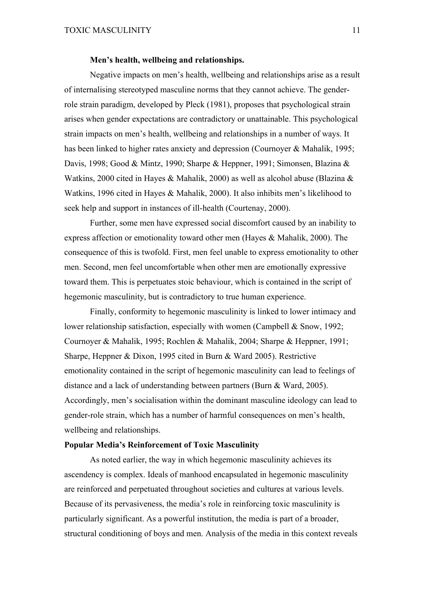## **Men's health, wellbeing and relationships.**

Negative impacts on men's health, wellbeing and relationships arise as a result of internalising stereotyped masculine norms that they cannot achieve. The genderrole strain paradigm, developed by Pleck (1981), proposes that psychological strain arises when gender expectations are contradictory or unattainable. This psychological strain impacts on men's health, wellbeing and relationships in a number of ways. It has been linked to higher rates anxiety and depression (Cournoyer & Mahalik, 1995; Davis, 1998; Good & Mintz, 1990; Sharpe & Heppner, 1991; Simonsen, Blazina & Watkins, 2000 cited in Hayes & Mahalik, 2000) as well as alcohol abuse (Blazina & Watkins, 1996 cited in Hayes & Mahalik, 2000). It also inhibits men's likelihood to seek help and support in instances of ill-health (Courtenay, 2000).

Further, some men have expressed social discomfort caused by an inability to express affection or emotionality toward other men (Hayes & Mahalik, 2000). The consequence of this is twofold. First, men feel unable to express emotionality to other men. Second, men feel uncomfortable when other men are emotionally expressive toward them. This is perpetuates stoic behaviour, which is contained in the script of hegemonic masculinity, but is contradictory to true human experience.

Finally, conformity to hegemonic masculinity is linked to lower intimacy and lower relationship satisfaction, especially with women (Campbell & Snow, 1992; Cournoyer & Mahalik, 1995; Rochlen & Mahalik, 2004; Sharpe & Heppner, 1991; Sharpe, Heppner & Dixon, 1995 cited in Burn & Ward 2005). Restrictive emotionality contained in the script of hegemonic masculinity can lead to feelings of distance and a lack of understanding between partners (Burn & Ward, 2005). Accordingly, men's socialisation within the dominant masculine ideology can lead to gender-role strain, which has a number of harmful consequences on men's health, wellbeing and relationships.

## **Popular Media's Reinforcement of Toxic Masculinity**

As noted earlier, the way in which hegemonic masculinity achieves its ascendency is complex. Ideals of manhood encapsulated in hegemonic masculinity are reinforced and perpetuated throughout societies and cultures at various levels. Because of its pervasiveness, the media's role in reinforcing toxic masculinity is particularly significant. As a powerful institution, the media is part of a broader, structural conditioning of boys and men. Analysis of the media in this context reveals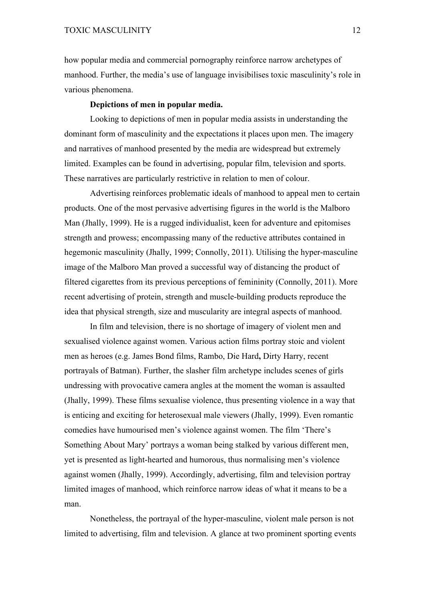how popular media and commercial pornography reinforce narrow archetypes of manhood. Further, the media's use of language invisibilises toxic masculinity's role in various phenomena.

## **Depictions of men in popular media.**

Looking to depictions of men in popular media assists in understanding the dominant form of masculinity and the expectations it places upon men. The imagery and narratives of manhood presented by the media are widespread but extremely limited. Examples can be found in advertising, popular film, television and sports. These narratives are particularly restrictive in relation to men of colour.

Advertising reinforces problematic ideals of manhood to appeal men to certain products. One of the most pervasive advertising figures in the world is the Malboro Man (Jhally, 1999). He is a rugged individualist, keen for adventure and epitomises strength and prowess; encompassing many of the reductive attributes contained in hegemonic masculinity (Jhally, 1999; Connolly, 2011). Utilising the hyper-masculine image of the Malboro Man proved a successful way of distancing the product of filtered cigarettes from its previous perceptions of femininity (Connolly, 2011). More recent advertising of protein, strength and muscle-building products reproduce the idea that physical strength, size and muscularity are integral aspects of manhood.

In film and television, there is no shortage of imagery of violent men and sexualised violence against women. Various action films portray stoic and violent men as heroes (e.g. James Bond films, Rambo, Die Hard**,** Dirty Harry, recent portrayals of Batman). Further, the slasher film archetype includes scenes of girls undressing with provocative camera angles at the moment the woman is assaulted (Jhally, 1999). These films sexualise violence, thus presenting violence in a way that is enticing and exciting for heterosexual male viewers (Jhally, 1999). Even romantic comedies have humourised men's violence against women. The film 'There's Something About Mary' portrays a woman being stalked by various different men, yet is presented as light-hearted and humorous, thus normalising men's violence against women (Jhally, 1999). Accordingly, advertising, film and television portray limited images of manhood, which reinforce narrow ideas of what it means to be a man.

Nonetheless, the portrayal of the hyper-masculine, violent male person is not limited to advertising, film and television. A glance at two prominent sporting events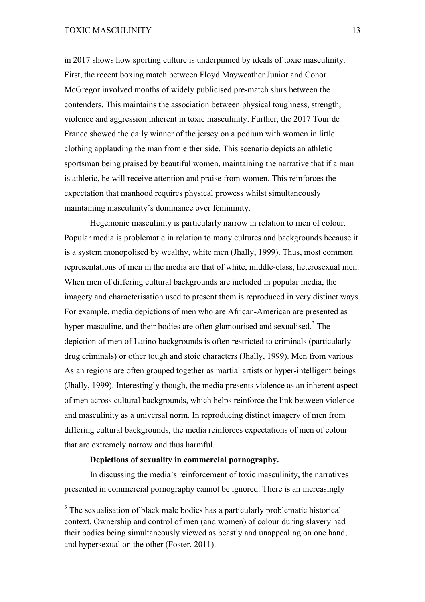in 2017 shows how sporting culture is underpinned by ideals of toxic masculinity. First, the recent boxing match between Floyd Mayweather Junior and Conor McGregor involved months of widely publicised pre-match slurs between the contenders. This maintains the association between physical toughness, strength, violence and aggression inherent in toxic masculinity. Further, the 2017 Tour de France showed the daily winner of the jersey on a podium with women in little clothing applauding the man from either side. This scenario depicts an athletic sportsman being praised by beautiful women, maintaining the narrative that if a man is athletic, he will receive attention and praise from women. This reinforces the expectation that manhood requires physical prowess whilst simultaneously maintaining masculinity's dominance over femininity.

Hegemonic masculinity is particularly narrow in relation to men of colour. Popular media is problematic in relation to many cultures and backgrounds because it is a system monopolised by wealthy, white men (Jhally, 1999). Thus, most common representations of men in the media are that of white, middle-class, heterosexual men. When men of differing cultural backgrounds are included in popular media, the imagery and characterisation used to present them is reproduced in very distinct ways. For example, media depictions of men who are African-American are presented as hyper-masculine, and their bodies are often glamourised and sexualised.<sup>3</sup> The depiction of men of Latino backgrounds is often restricted to criminals (particularly drug criminals) or other tough and stoic characters (Jhally, 1999). Men from various Asian regions are often grouped together as martial artists or hyper-intelligent beings (Jhally, 1999). Interestingly though, the media presents violence as an inherent aspect of men across cultural backgrounds, which helps reinforce the link between violence and masculinity as a universal norm. In reproducing distinct imagery of men from differing cultural backgrounds, the media reinforces expectations of men of colour that are extremely narrow and thus harmful.

## **Depictions of sexuality in commercial pornography.**

In discussing the media's reinforcement of toxic masculinity, the narratives presented in commercial pornography cannot be ignored. There is an increasingly

<sup>&</sup>lt;sup>3</sup> The sexualisation of black male bodies has a particularly problematic historical context. Ownership and control of men (and women) of colour during slavery had their bodies being simultaneously viewed as beastly and unappealing on one hand, and hypersexual on the other (Foster, 2011).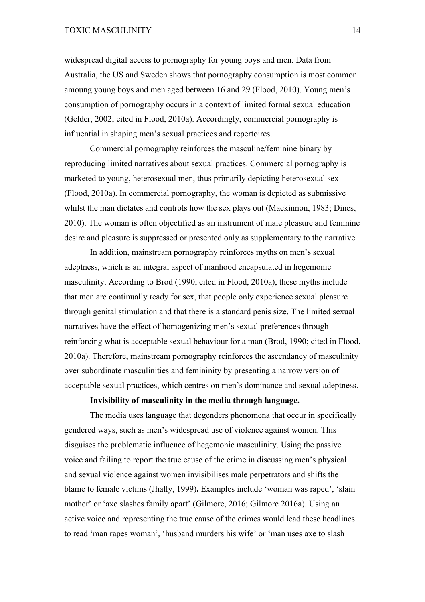widespread digital access to pornography for young boys and men. Data from Australia, the US and Sweden shows that pornography consumption is most common amoung young boys and men aged between 16 and 29 (Flood, 2010). Young men's consumption of pornography occurs in a context of limited formal sexual education (Gelder, 2002; cited in Flood, 2010a). Accordingly, commercial pornography is influential in shaping men's sexual practices and repertoires.

Commercial pornography reinforces the masculine/feminine binary by reproducing limited narratives about sexual practices. Commercial pornography is marketed to young, heterosexual men, thus primarily depicting heterosexual sex (Flood, 2010a). In commercial pornography, the woman is depicted as submissive whilst the man dictates and controls how the sex plays out (Mackinnon, 1983; Dines, 2010). The woman is often objectified as an instrument of male pleasure and feminine desire and pleasure is suppressed or presented only as supplementary to the narrative.

In addition, mainstream pornography reinforces myths on men's sexual adeptness, which is an integral aspect of manhood encapsulated in hegemonic masculinity. According to Brod (1990, cited in Flood, 2010a), these myths include that men are continually ready for sex, that people only experience sexual pleasure through genital stimulation and that there is a standard penis size. The limited sexual narratives have the effect of homogenizing men's sexual preferences through reinforcing what is acceptable sexual behaviour for a man (Brod, 1990; cited in Flood, 2010a). Therefore, mainstream pornography reinforces the ascendancy of masculinity over subordinate masculinities and femininity by presenting a narrow version of acceptable sexual practices, which centres on men's dominance and sexual adeptness.

## **Invisibility of masculinity in the media through language.**

The media uses language that degenders phenomena that occur in specifically gendered ways, such as men's widespread use of violence against women. This disguises the problematic influence of hegemonic masculinity. Using the passive voice and failing to report the true cause of the crime in discussing men's physical and sexual violence against women invisibilises male perpetrators and shifts the blame to female victims (Jhally, 1999)**.** Examples include 'woman was raped', 'slain mother' or 'axe slashes family apart' (Gilmore, 2016; Gilmore 2016a). Using an active voice and representing the true cause of the crimes would lead these headlines to read 'man rapes woman', 'husband murders his wife' or 'man uses axe to slash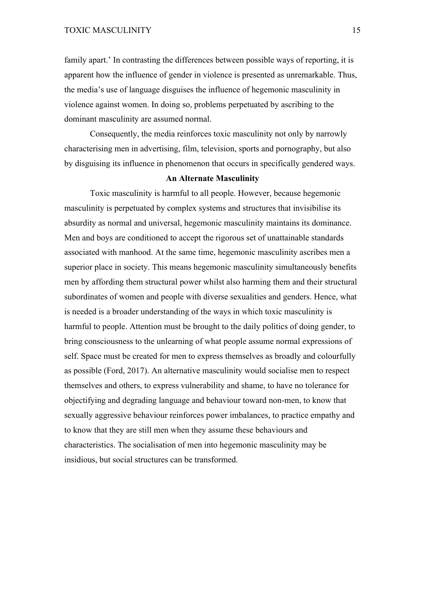family apart.' In contrasting the differences between possible ways of reporting, it is apparent how the influence of gender in violence is presented as unremarkable. Thus, the media's use of language disguises the influence of hegemonic masculinity in violence against women. In doing so, problems perpetuated by ascribing to the dominant masculinity are assumed normal.

Consequently, the media reinforces toxic masculinity not only by narrowly characterising men in advertising, film, television, sports and pornography, but also by disguising its influence in phenomenon that occurs in specifically gendered ways.

## **An Alternate Masculinity**

Toxic masculinity is harmful to all people. However, because hegemonic masculinity is perpetuated by complex systems and structures that invisibilise its absurdity as normal and universal, hegemonic masculinity maintains its dominance. Men and boys are conditioned to accept the rigorous set of unattainable standards associated with manhood. At the same time, hegemonic masculinity ascribes men a superior place in society. This means hegemonic masculinity simultaneously benefits men by affording them structural power whilst also harming them and their structural subordinates of women and people with diverse sexualities and genders. Hence, what is needed is a broader understanding of the ways in which toxic masculinity is harmful to people. Attention must be brought to the daily politics of doing gender, to bring consciousness to the unlearning of what people assume normal expressions of self. Space must be created for men to express themselves as broadly and colourfully as possible (Ford, 2017). An alternative masculinity would socialise men to respect themselves and others, to express vulnerability and shame, to have no tolerance for objectifying and degrading language and behaviour toward non-men, to know that sexually aggressive behaviour reinforces power imbalances, to practice empathy and to know that they are still men when they assume these behaviours and characteristics. The socialisation of men into hegemonic masculinity may be insidious, but social structures can be transformed.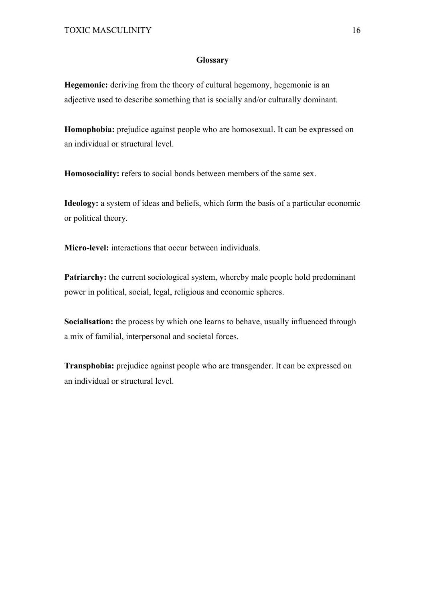## **Glossary**

**Hegemonic:** deriving from the theory of cultural hegemony, hegemonic is an adjective used to describe something that is socially and/or culturally dominant.

**Homophobia:** prejudice against people who are homosexual. It can be expressed on an individual or structural level.

**Homosociality:** refers to social bonds between members of the same sex.

**Ideology:** a system of ideas and beliefs, which form the basis of a particular economic or political theory.

**Micro-level:** interactions that occur between individuals.

**Patriarchy:** the current sociological system, whereby male people hold predominant power in political, social, legal, religious and economic spheres.

**Socialisation:** the process by which one learns to behave, usually influenced through a mix of familial, interpersonal and societal forces.

**Transphobia:** prejudice against people who are transgender. It can be expressed on an individual or structural level.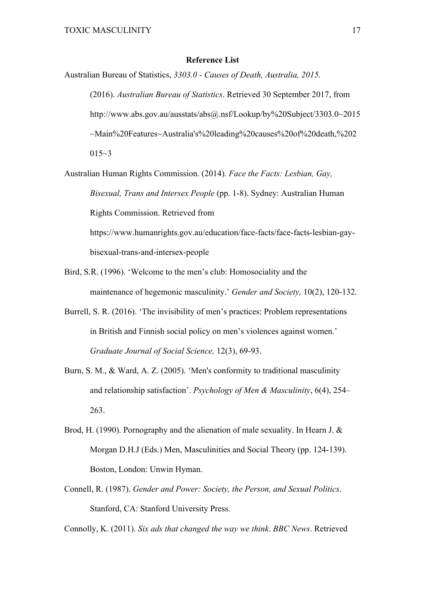## **Reference List**

Australian Bureau of Statistics, *3303.0 - Causes of Death, Australia, 2015*. (2016). *Australian Bureau of Statistics*. Retrieved 30 September 2017, from http://www.abs.gov.au/ausstats/abs@.nsf/Lookup/by%20Subject/3303.0~2015 ~Main%20Features~Australia's%20leading%20causes%20of%20death,%202  $015 - 3$ 

Australian Human Rights Commission. (2014). *Face the Facts: Lesbian, Gay, Bisexual, Trans and Intersex People* (pp. 1-8). Sydney: Australian Human Rights Commission. Retrieved from https://www.humanrights.gov.au/education/face-facts/face-facts-lesbian-gaybisexual-trans-and-intersex-people

- Bird, S.R. (1996). 'Welcome to the men's club: Homosociality and the maintenance of hegemonic masculinity.' *Gender and Society,* 10(2), 120-132.
- Burrell, S. R. (2016). 'The invisibility of men's practices: Problem representations in British and Finnish social policy on men's violences against women.' *Graduate Journal of Social Science,* 12(3), 69-93.
- Burn, S. M., & Ward, A. Z. (2005). 'Men's conformity to traditional masculinity and relationship satisfaction'. *Psychology of Men & Masculinity*, 6(4), 254– 263.
- Brod, H. (1990). Pornography and the alienation of male sexuality. In Hearn J. & Morgan D.H.J (Eds.) Men, Masculinities and Social Theory (pp. 124-139). Boston, London: Unwin Hyman.
- Connell, R. (1987). *Gender and Power: Society, the Person, and Sexual Politics*. Stanford, CA: Stanford University Press.

Connolly, K. (2011). *Six ads that changed the way we think*. *BBC News*. Retrieved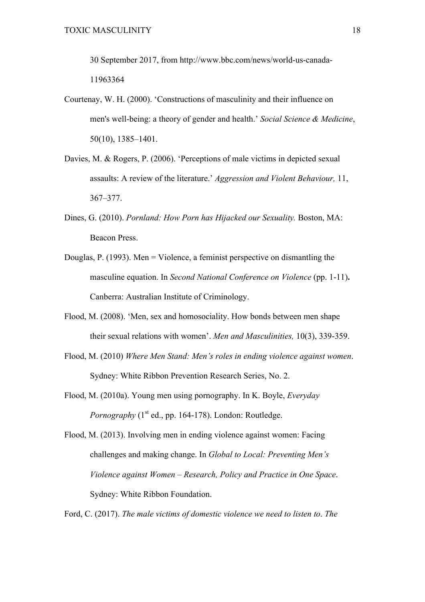30 September 2017, from http://www.bbc.com/news/world-us-canada-11963364

- Courtenay, W. H. (2000). 'Constructions of masculinity and their influence on men's well-being: a theory of gender and health.' *Social Science & Medicine*, 50(10), 1385–1401.
- Davies, M. & Rogers, P. (2006). 'Perceptions of male victims in depicted sexual assaults: A review of the literature.' *Aggression and Violent Behaviour,* 11, 367–377.
- Dines, G. (2010). *Pornland: How Porn has Hijacked our Sexuality.* Boston, MA: Beacon Press.
- Douglas, P. (1993). Men = Violence, a feminist perspective on dismantling the masculine equation. In *Second National Conference on Violence* (pp. 1-11)**.**  Canberra: Australian Institute of Criminology.
- Flood, M. (2008). 'Men, sex and homosociality. How bonds between men shape their sexual relations with women'. *Men and Masculinities,* 10(3), 339-359.
- Flood, M. (2010) *Where Men Stand: Men's roles in ending violence against women*. Sydney: White Ribbon Prevention Research Series, No. 2.
- Flood, M. (2010a). Young men using pornography. In K. Boyle, *Everyday Pornography* (1<sup>st</sup> ed., pp. 164-178). London: Routledge.
- Flood, M. (2013). Involving men in ending violence against women: Facing challenges and making change. In *Global to Local: Preventing Men's Violence against Women – Research, Policy and Practice in One Space*. Sydney: White Ribbon Foundation.

Ford, C. (2017). *The male victims of domestic violence we need to listen to*. *The*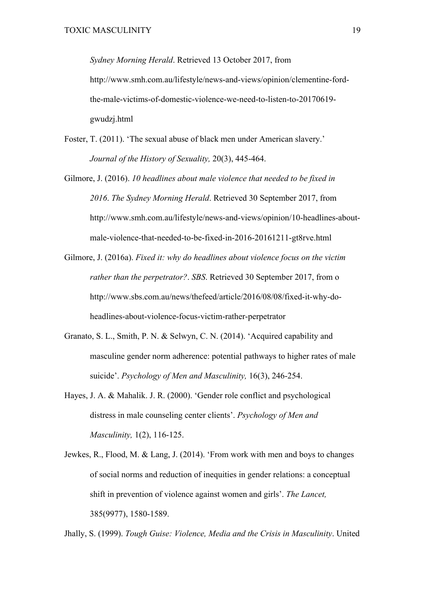*Sydney Morning Herald*. Retrieved 13 October 2017, from http://www.smh.com.au/lifestyle/news-and-views/opinion/clementine-fordthe-male-victims-of-domestic-violence-we-need-to-listen-to-20170619 gwudzj.html

- Foster, T. (2011). 'The sexual abuse of black men under American slavery.' *Journal of the History of Sexuality,* 20(3), 445-464.
- Gilmore, J. (2016). *10 headlines about male violence that needed to be fixed in 2016*. *The Sydney Morning Herald*. Retrieved 30 September 2017, from http://www.smh.com.au/lifestyle/news-and-views/opinion/10-headlines-aboutmale-violence-that-needed-to-be-fixed-in-2016-20161211-gt8rve.html
- Gilmore, J. (2016a). *Fixed it: why do headlines about violence focus on the victim rather than the perpetrator?*. *SBS*. Retrieved 30 September 2017, from o http://www.sbs.com.au/news/thefeed/article/2016/08/08/fixed-it-why-doheadlines-about-violence-focus-victim-rather-perpetrator
- Granato, S. L., Smith, P. N. & Selwyn, C. N. (2014). 'Acquired capability and masculine gender norm adherence: potential pathways to higher rates of male suicide'. *Psychology of Men and Masculinity,* 16(3), 246-254.
- Hayes, J. A. & Mahalik. J. R. (2000). 'Gender role conflict and psychological distress in male counseling center clients'. *Psychology of Men and Masculinity,* 1(2), 116-125.
- Jewkes, R., Flood, M. & Lang, J. (2014). 'From work with men and boys to changes of social norms and reduction of inequities in gender relations: a conceptual shift in prevention of violence against women and girls'. *The Lancet,*  385(9977), 1580-1589.

Jhally, S. (1999). *Tough Guise: Violence, Media and the Crisis in Masculinity*. United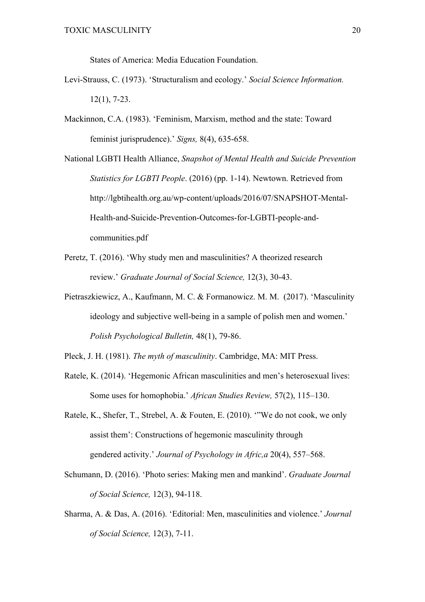States of America: Media Education Foundation.

- Levi-Strauss, C. (1973). 'Structuralism and ecology.' *Social Science Information.* 12(1), 7-23.
- Mackinnon, C.A. (1983). 'Feminism, Marxism, method and the state: Toward feminist jurisprudence).' *Signs,* 8(4), 635-658.

National LGBTI Health Alliance, *Snapshot of Mental Health and Suicide Prevention Statistics for LGBTI People*. (2016) (pp. 1-14). Newtown. Retrieved from http://lgbtihealth.org.au/wp-content/uploads/2016/07/SNAPSHOT-Mental-Health-and-Suicide-Prevention-Outcomes-for-LGBTI-people-andcommunities.pdf

- Peretz, T. (2016). 'Why study men and masculinities? A theorized research review.' *Graduate Journal of Social Science,* 12(3), 30-43.
- Pietraszkiewicz, A., Kaufmann, M. C. & Formanowicz. M. M. (2017). 'Masculinity ideology and subjective well-being in a sample of polish men and women.' *Polish Psychological Bulletin,* 48(1), 79-86.

Pleck, J. H. (1981). *The myth of masculinity*. Cambridge, MA: MIT Press.

- Ratele, K. (2014). 'Hegemonic African masculinities and men's heterosexual lives: Some uses for homophobia.' *African Studies Review,* 57(2), 115–130.
- Ratele, K., Shefer, T., Strebel, A. & Fouten, E. (2010). '"We do not cook, we only assist them': Constructions of hegemonic masculinity through gendered activity.' *Journal of Psychology in Afric,a* 20(4), 557–568.
- Schumann, D. (2016). 'Photo series: Making men and mankind'. *Graduate Journal of Social Science,* 12(3), 94-118.
- Sharma, A. & Das, A. (2016). 'Editorial: Men, masculinities and violence.' *Journal of Social Science,* 12(3), 7-11.